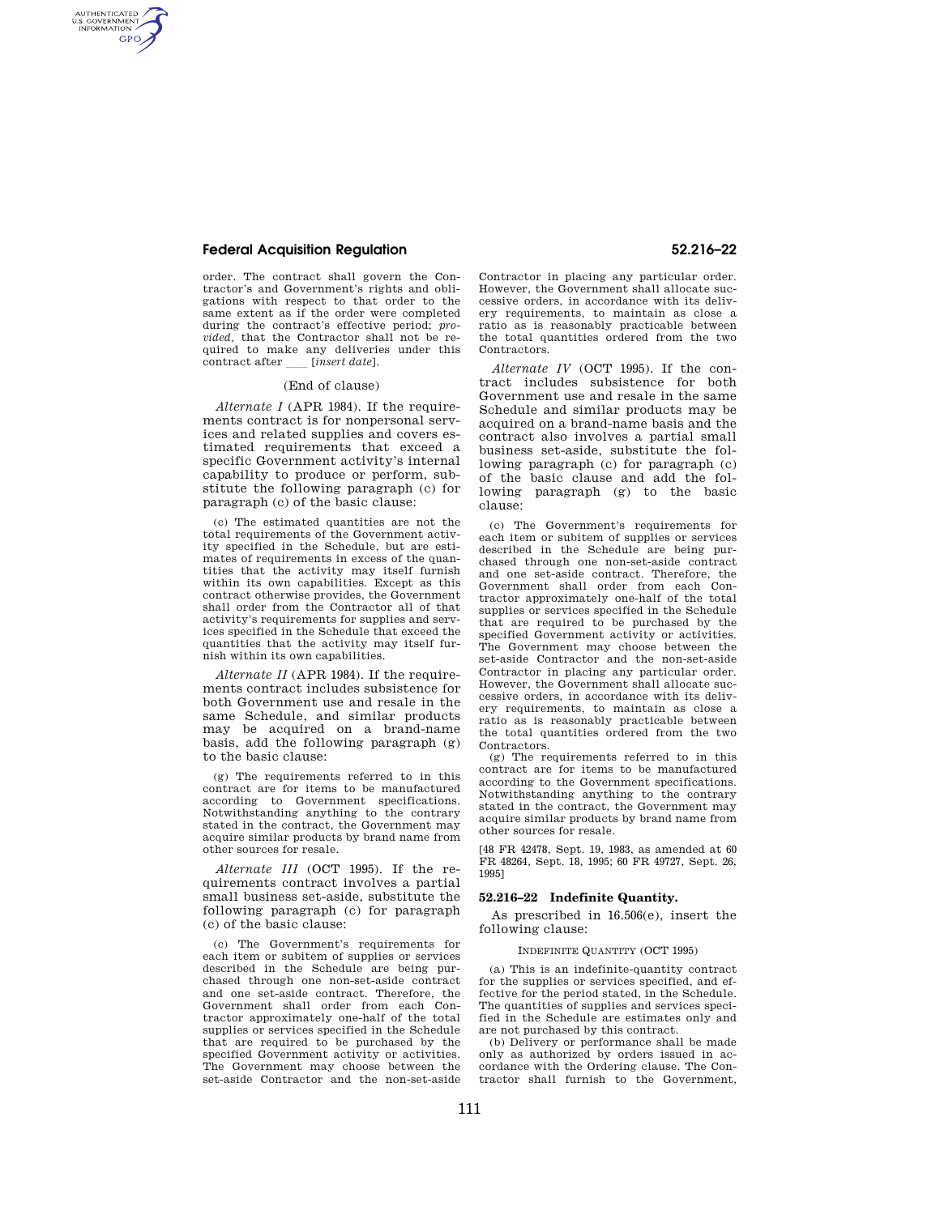# **Federal Acquisition Regulation 52.216–22**

AUTHENTICATED<br>U.S. GOVERNMENT<br>INFORMATION **GPO** 

> order. The contract shall govern the Contractor's and Government's rights and obligations with respect to that order to the same extent as if the order were completed during the contract's effective period; *provided,* that the Contractor shall not be required to make any deliveries under this contract after *[insert date]*.

## (End of clause)

*Alternate I* (APR 1984). If the requirements contract is for nonpersonal services and related supplies and covers estimated requirements that exceed a specific Government activity's internal capability to produce or perform, substitute the following paragraph (c) for paragraph (c) of the basic clause:

(c) The estimated quantities are not the total requirements of the Government activity specified in the Schedule, but are estimates of requirements in excess of the quantities that the activity may itself furnish within its own capabilities. Except as this contract otherwise provides, the Government shall order from the Contractor all of that activity's requirements for supplies and services specified in the Schedule that exceed the quantities that the activity may itself furnish within its own capabilities.

*Alternate II* (APR 1984). If the requirements contract includes subsistence for both Government use and resale in the same Schedule, and similar products may be acquired on a brand-name basis, add the following paragraph (g) to the basic clause:

(g) The requirements referred to in this contract are for items to be manufactured according to Government specifications. Notwithstanding anything to the contrary stated in the contract, the Government may acquire similar products by brand name from other sources for resale.

*Alternate III* (OCT 1995). If the requirements contract involves a partial small business set-aside, substitute the following paragraph (c) for paragraph (c) of the basic clause:

(c) The Government's requirements for each item or subitem of supplies or services described in the Schedule are being purchased through one non-set-aside contract and one set-aside contract. Therefore, the Government shall order from each Contractor approximately one-half of the total supplies or services specified in the Schedule that are required to be purchased by the specified Government activity or activities. The Government may choose between the set-aside Contractor and the non-set-aside

Contractor in placing any particular order. However, the Government shall allocate successive orders, in accordance with its delivery requirements, to maintain as close a ratio as is reasonably practicable between the total quantities ordered from the two Contractors.

*Alternate IV* (OCT 1995). If the contract includes subsistence for both Government use and resale in the same Schedule and similar products may be acquired on a brand-name basis and the contract also involves a partial small business set-aside, substitute the following paragraph (c) for paragraph (c) of the basic clause and add the following paragraph (g) to the basic clause:

(c) The Government's requirements for each item or subitem of supplies or services described in the Schedule are being purchased through one non-set-aside contract and one set-aside contract. Therefore, the Government shall order from each Contractor approximately one-half of the total supplies or services specified in the Schedule that are required to be purchased by the specified Government activity or activities. The Government may choose between the set-aside Contractor and the non-set-aside Contractor in placing any particular order. However, the Government shall allocate successive orders, in accordance with its delivery requirements, to maintain as close a ratio as is reasonably practicable between the total quantities ordered from the two Contractors.

(g) The requirements referred to in this contract are for items to be manufactured according to the Government specifications. Notwithstanding anything to the contrary stated in the contract, the Government may acquire similar products by brand name from other sources for resale.

[48 FR 42478, Sept. 19, 1983, as amended at 60 FR 48264, Sept. 18, 1995; 60 FR 49727, Sept. 26, 1995]

#### **52.216–22 Indefinite Quantity.**

As prescribed in 16.506(e), insert the following clause:

## INDEFINITE QUANTITY (OCT 1995)

(a) This is an indefinite-quantity contract for the supplies or services specified, and effective for the period stated, in the Schedule. The quantities of supplies and services specified in the Schedule are estimates only and are not purchased by this contract.

(b) Delivery or performance shall be made only as authorized by orders issued in accordance with the Ordering clause. The Contractor shall furnish to the Government,